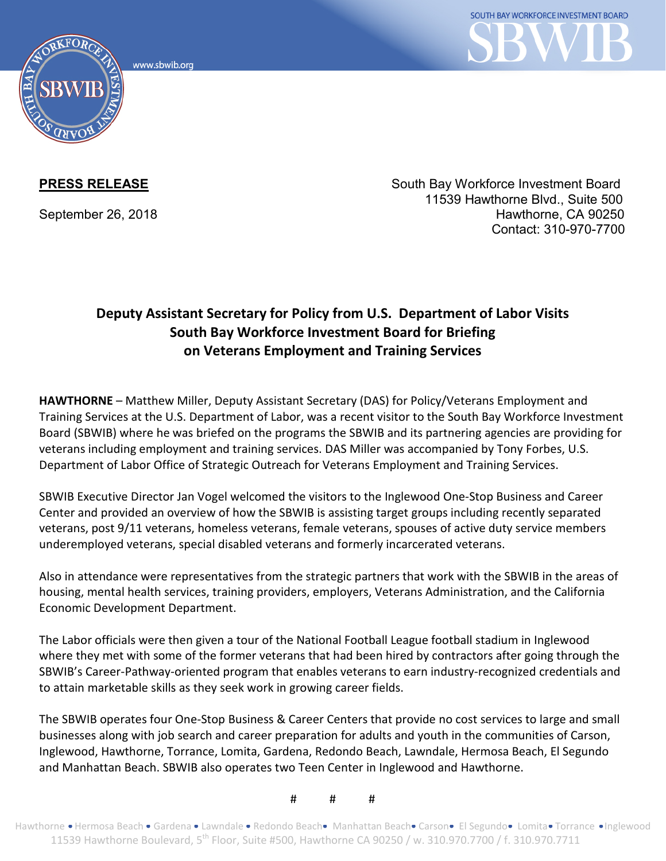www.sbwib.org



**PRESS RELEASE** South Bay Workforce Investment Board 11539 Hawthorne Blvd., Suite 500 September 26, 2018 **Hawthorne, CA 90250** Hawthorne, CA 90250 Contact: 310-970-7700

## **Deputy Assistant Secretary for Policy from U.S. Department of Labor Visits South Bay Workforce Investment Board for Briefing on Veterans Employment and Training Services**

**HAWTHORNE** – Matthew Miller, Deputy Assistant Secretary (DAS) for Policy/Veterans Employment and Training Services at the U.S. Department of Labor, was a recent visitor to the South Bay Workforce Investment Board (SBWIB) where he was briefed on the programs the SBWIB and its partnering agencies are providing for veterans including employment and training services. DAS Miller was accompanied by Tony Forbes, U.S. Department of Labor Office of Strategic Outreach for Veterans Employment and Training Services.

SBWIB Executive Director Jan Vogel welcomed the visitors to the Inglewood One-Stop Business and Career Center and provided an overview of how the SBWIB is assisting target groups including recently separated veterans, post 9/11 veterans, homeless veterans, female veterans, spouses of active duty service members underemployed veterans, special disabled veterans and formerly incarcerated veterans.

Also in attendance were representatives from the strategic partners that work with the SBWIB in the areas of housing, mental health services, training providers, employers, Veterans Administration, and the California Economic Development Department.

The Labor officials were then given a tour of the National Football League football stadium in Inglewood where they met with some of the former veterans that had been hired by contractors after going through the SBWIB's Career-Pathway-oriented program that enables veterans to earn industry-recognized credentials and to attain marketable skills as they seek work in growing career fields.

The SBWIB operates four One-Stop Business & Career Centers that provide no cost services to large and small businesses along with job search and career preparation for adults and youth in the communities of Carson, Inglewood, Hawthorne, Torrance, Lomita, Gardena, Redondo Beach, Lawndale, Hermosa Beach, El Segundo and Manhattan Beach. SBWIB also operates two Teen Center in Inglewood and Hawthorne.

# # #